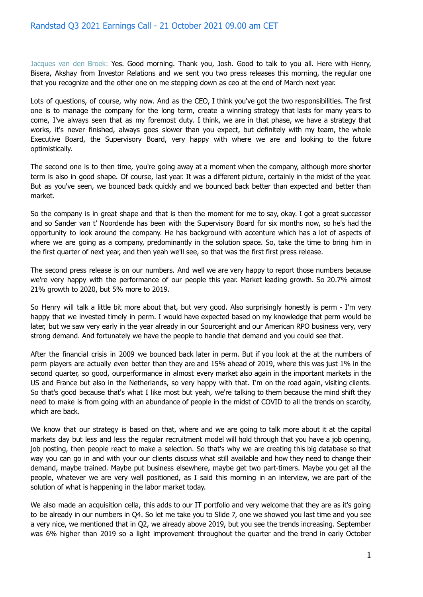Jacques van den Broek: Yes. Good morning. Thank you, Josh. Good to talk to you all. Here with Henry, Bisera, Akshay from Investor Relations and we sent you two press releases this morning, the regular one that you recognize and the other one on me stepping down as ceo at the end of March next year.

Lots of questions, of course, why now. And as the CEO, I think you've got the two responsibilities. The first one is to manage the company for the long term, create a winning strategy that lasts for many years to come, I've always seen that as my foremost duty. I think, we are in that phase, we have a strategy that works, it's never finished, always goes slower than you expect, but definitely with my team, the whole Executive Board, the Supervisory Board, very happy with where we are and looking to the future optimistically.

The second one is to then time, you're going away at a moment when the company, although more shorter term is also in good shape. Of course, last year. It was a different picture, certainly in the midst of the year. But as you've seen, we bounced back quickly and we bounced back better than expected and better than market.

So the company is in great shape and that is then the moment for me to say, okay. I got a great successor and so Sander van t' Noordende has been with the Supervisory Board for six months now, so he's had the opportunity to look around the company. He has background with accenture which has a lot of aspects of where we are going as a company, predominantly in the solution space. So, take the time to bring him in the first quarter of next year, and then yeah we'll see, so that was the first first press release.

The second press release is on our numbers. And well we are very happy to report those numbers because we're very happy with the performance of our people this year. Market leading growth. So 20.7% almost 21% growth to 2020, but 5% more to 2019.

So Henry will talk a little bit more about that, but very good. Also surprisingly honestly is perm - I'm very happy that we invested timely in perm. I would have expected based on my knowledge that perm would be later, but we saw very early in the year already in our Sourceright and our American RPO business very, very strong demand. And fortunately we have the people to handle that demand and you could see that.

After the financial crisis in 2009 we bounced back later in perm. But if you look at the at the numbers of perm players are actually even better than they are and 15% ahead of 2019, where this was just 1% in the second quarter, so good, ourperformance in almost every market also again in the important markets in the US and France but also in the Netherlands, so very happy with that. I'm on the road again, visiting clients. So that's good because that's what I like most but yeah, we're talking to them because the mind shift they need to make is from going with an abundance of people in the midst of COVID to all the trends on scarcity, which are back.

We know that our strategy is based on that, where and we are going to talk more about it at the capital markets day but less and less the regular recruitment model will hold through that you have a job opening, job posting, then people react to make a selection. So that's why we are creating this big database so that way you can go in and with your our clients discuss what still available and how they need to change their demand, maybe trained. Maybe put business elsewhere, maybe get two part-timers. Maybe you get all the people, whatever we are very well positioned, as I said this morning in an interview, we are part of the solution of what is happening in the labor market today.

We also made an acquisition cella, this adds to our IT portfolio and very welcome that they are as it's going to be already in our numbers in Q4. So let me take you to Slide 7, one we showed you last time and you see a very nice, we mentioned that in Q2, we already above 2019, but you see the trends increasing. September was 6% higher than 2019 so a light improvement throughout the quarter and the trend in early October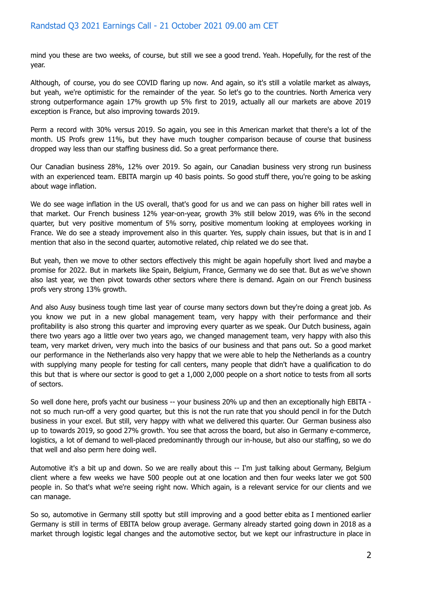mind you these are two weeks, of course, but still we see a good trend. Yeah. Hopefully, for the rest of the year.

Although, of course, you do see COVID flaring up now. And again, so it's still a volatile market as always, but yeah, we're optimistic for the remainder of the year. So let's go to the countries. North America very strong outperformance again 17% growth up 5% first to 2019, actually all our markets are above 2019 exception is France, but also improving towards 2019.

Perm a record with 30% versus 2019. So again, you see in this American market that there's a lot of the month. US Profs grew 11%, but they have much tougher comparison because of course that business dropped way less than our staffing business did. So a great performance there.

Our Canadian business 28%, 12% over 2019. So again, our Canadian business very strong run business with an experienced team. EBITA margin up 40 basis points. So good stuff there, you're going to be asking about wage inflation.

We do see wage inflation in the US overall, that's good for us and we can pass on higher bill rates well in that market. Our French business 12% year-on-year, growth 3% still below 2019, was 6% in the second quarter, but very positive momentum of 5% sorry, positive momentum looking at employees working in France. We do see a steady improvement also in this quarter. Yes, supply chain issues, but that is in and I mention that also in the second quarter, automotive related, chip related we do see that.

But yeah, then we move to other sectors effectively this might be again hopefully short lived and maybe a promise for 2022. But in markets like Spain, Belgium, France, Germany we do see that. But as we've shown also last year, we then pivot towards other sectors where there is demand. Again on our French business profs very strong 13% growth.

And also Ausy business tough time last year of course many sectors down but they're doing a great job. As you know we put in a new global management team, very happy with their performance and their profitability is also strong this quarter and improving every quarter as we speak. Our Dutch business, again there two years ago a little over two years ago, we changed management team, very happy with also this team, very market driven, very much into the basics of our business and that pans out. So a good market our performance in the Netherlands also very happy that we were able to help the Netherlands as a country with supplying many people for testing for call centers, many people that didn't have a qualification to do this but that is where our sector is good to get a 1,000 2,000 people on a short notice to tests from all sorts of sectors.

So well done here, profs yacht our business -- your business 20% up and then an exceptionally high EBITA not so much run-off a very good quarter, but this is not the run rate that you should pencil in for the Dutch business in your excel. But still, very happy with what we delivered this quarter. Our German business also up to towards 2019, so good 27% growth. You see that across the board, but also in Germany e-commerce, logistics, a lot of demand to well-placed predominantly through our in-house, but also our staffing, so we do that well and also perm here doing well.

Automotive it's a bit up and down. So we are really about this -- I'm just talking about Germany, Belgium client where a few weeks we have 500 people out at one location and then four weeks later we got 500 people in. So that's what we're seeing right now. Which again, is a relevant service for our clients and we can manage.

So so, automotive in Germany still spotty but still improving and a good better ebita as I mentioned earlier Germany is still in terms of EBITA below group average. Germany already started going down in 2018 as a market through logistic legal changes and the automotive sector, but we kept our infrastructure in place in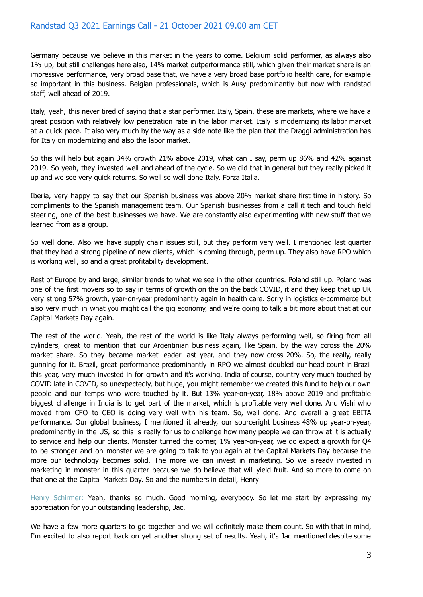Germany because we believe in this market in the years to come. Belgium solid performer, as always also 1% up, but still challenges here also, 14% market outperformance still, which given their market share is an impressive performance, very broad base that, we have a very broad base portfolio health care, for example so important in this business. Belgian professionals, which is Ausy predominantly but now with randstad staff, well ahead of 2019.

Italy, yeah, this never tired of saying that a star performer. Italy, Spain, these are markets, where we have a great position with relatively low penetration rate in the labor market. Italy is modernizing its labor market at a quick pace. It also very much by the way as a side note like the plan that the Draggi administration has for Italy on modernizing and also the labor market.

So this will help but again 34% growth 21% above 2019, what can I say, perm up 86% and 42% against 2019. So yeah, they invested well and ahead of the cycle. So we did that in general but they really picked it up and we see very quick returns. So well so well done Italy. Forza Italia.

Iberia, very happy to say that our Spanish business was above 20% market share first time in history. So compliments to the Spanish management team. Our Spanish businesses from a call it tech and touch field steering, one of the best businesses we have. We are constantly also experimenting with new stuff that we learned from as a group.

So well done. Also we have supply chain issues still, but they perform very well. I mentioned last quarter that they had a strong pipeline of new clients, which is coming through, perm up. They also have RPO which is working well, so and a great profitability development.

Rest of Europe by and large, similar trends to what we see in the other countries. Poland still up. Poland was one of the first movers so to say in terms of growth on the on the back COVID, it and they keep that up UK very strong 57% growth, year-on-year predominantly again in health care. Sorry in logistics e-commerce but also very much in what you might call the gig economy, and we're going to talk a bit more about that at our Capital Markets Day again.

The rest of the world. Yeah, the rest of the world is like Italy always performing well, so firing from all cylinders, great to mention that our Argentinian business again, like Spain, by the way ccross the 20% market share. So they became market leader last year, and they now cross 20%. So, the really, really gunning for it. Brazil, great performance predominantly in RPO we almost doubled our head count in Brazil this year, very much invested in for growth and it's working. India of course, country very much touched by COVID late in COVID, so unexpectedly, but huge, you might remember we created this fund to help our own people and our temps who were touched by it. But 13% year-on-year, 18% above 2019 and profitable biggest challenge in India is to get part of the market, which is profitable very well done. And Vishi who moved from CFO to CEO is doing very well with his team. So, well done. And overall a great EBITA performance. Our global business, I mentioned it already, our sourceright business 48% up year-on-year, predominantly in the US, so this is really for us to challenge how many people we can throw at it is actually to service and help our clients. Monster turned the corner, 1% year-on-year, we do expect a growth for Q4 to be stronger and on monster we are going to talk to you again at the Capital Markets Day because the more our technology becomes solid. The more we can invest in marketing. So we already invested in marketing in monster in this quarter because we do believe that will yield fruit. And so more to come on that one at the Capital Markets Day. So and the numbers in detail, Henry

Henry Schirmer: Yeah, thanks so much. Good morning, everybody. So let me start by expressing my appreciation for your outstanding leadership, Jac.

We have a few more quarters to go together and we will definitely make them count. So with that in mind, I'm excited to also report back on yet another strong set of results. Yeah, it's Jac mentioned despite some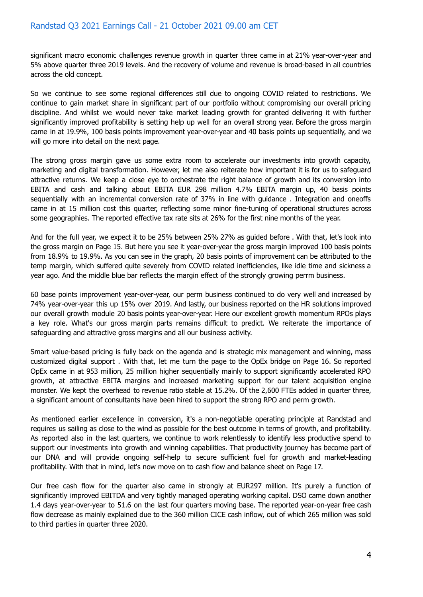significant macro economic challenges revenue growth in quarter three came in at 21% year-over-year and 5% above quarter three 2019 levels. And the recovery of volume and revenue is broad-based in all countries across the old concept.

So we continue to see some regional differences still due to ongoing COVID related to restrictions. We continue to gain market share in significant part of our portfolio without compromising our overall pricing discipline. And whilst we would never take market leading growth for granted delivering it with further significantly improved profitability is setting help up well for an overall strong year. Before the gross margin came in at 19.9%, 100 basis points improvement year-over-year and 40 basis points up sequentially, and we will go more into detail on the next page.

The strong gross margin gave us some extra room to accelerate our investments into growth capacity, marketing and digital transformation. However, let me also reiterate how important it is for us to safeguard attractive returns. We keep a close eye to orchestrate the right balance of growth and its conversion into EBITA and cash and talking about EBITA EUR 298 million 4.7% EBITA margin up, 40 basis points sequentially with an incremental conversion rate of 37% in line with guidance . Integration and oneoffs came in at 15 million cost this quarter, reflecting some minor fine-tuning of operational structures across some geographies. The reported effective tax rate sits at 26% for the first nine months of the year.

And for the full year, we expect it to be 25% between 25% 27% as guided before . With that, let's look into the gross margin on Page 15. But here you see it year-over-year the gross margin improved 100 basis points from 18.9% to 19.9%. As you can see in the graph, 20 basis points of improvement can be attributed to the temp margin, which suffered quite severely from COVID related inefficiencies, like idle time and sickness a year ago. And the middle blue bar reflects the margin effect of the strongly growing perrm business.

60 base points improvement year-over-year, our perm business continued to do very well and increased by 74% year-over-year this up 15% over 2019. And lastly, our business reported on the HR solutions improved our overall growth module 20 basis points year-over-year. Here our excellent growth momentum RPOs plays a key role. What's our gross margin parts remains difficult to predict. We reiterate the importance of safeguarding and attractive gross margins and all our business activity.

Smart value-based pricing is fully back on the agenda and is strategic mix management and winning, mass customized digital support . With that, let me turn the page to the OpEx bridge on Page 16. So reported OpEx came in at 953 million, 25 million higher sequentially mainly to support significantly accelerated RPO growth, at attractive EBITA margins and increased marketing support for our talent acquisition engine monster. We kept the overhead to revenue ratio stable at 15.2%. Of the 2,600 FTEs added in quarter three, a significant amount of consultants have been hired to support the strong RPO and perm growth.

As mentioned earlier excellence in conversion, it's a non-negotiable operating principle at Randstad and requires us sailing as close to the wind as possible for the best outcome in terms of growth, and profitability. As reported also in the last quarters, we continue to work relentlessly to identify less productive spend to support our investments into growth and winning capabilities. That productivity journey has become part of our DNA and will provide ongoing self-help to secure sufficient fuel for growth and market-leading profitability. With that in mind, let's now move on to cash flow and balance sheet on Page 17.

Our free cash flow for the quarter also came in strongly at EUR297 million. It's purely a function of significantly improved EBITDA and very tightly managed operating working capital. DSO came down another 1.4 days year-over-year to 51.6 on the last four quarters moving base. The reported year-on-year free cash flow decrease as mainly explained due to the 360 million CICE cash inflow, out of which 265 million was sold to third parties in quarter three 2020.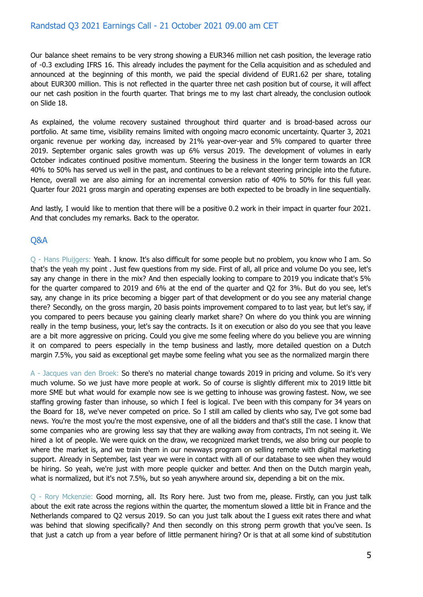Our balance sheet remains to be very strong showing a EUR346 million net cash position, the leverage ratio of -0.3 excluding IFRS 16. This already includes the payment for the Cella acquisition and as scheduled and announced at the beginning of this month, we paid the special dividend of EUR1.62 per share, totaling about EUR300 million. This is not reflected in the quarter three net cash position but of course, it will affect our net cash position in the fourth quarter. That brings me to my last chart already, the conclusion outlook on Slide 18.

As explained, the volume recovery sustained throughout third quarter and is broad-based across our portfolio. At same time, visibility remains limited with ongoing macro economic uncertainty. Quarter 3, 2021 organic revenue per working day, increased by 21% year-over-year and 5% compared to quarter three 2019. September organic sales growth was up 6% versus 2019. The development of volumes in early October indicates continued positive momentum. Steering the business in the longer term towards an ICR 40% to 50% has served us well in the past, and continues to be a relevant steering principle into the future. Hence, overall we are also aiming for an incremental conversion ratio of 40% to 50% for this full year. Quarter four 2021 gross margin and operating expenses are both expected to be broadly in line sequentially.

And lastly, I would like to mention that there will be a positive 0.2 work in their impact in quarter four 2021. And that concludes my remarks. Back to the operator.

## Q&A

Q - Hans Pluijgers: Yeah. I know. It's also difficult for some people but no problem, you know who I am. So that's the yeah my point . Just few questions from my side. First of all, all price and volume Do you see, let's say any change in there in the mix? And then especially looking to compare to 2019 you indicate that's 5% for the quarter compared to 2019 and 6% at the end of the quarter and Q2 for 3%. But do you see, let's say, any change in its price becoming a bigger part of that development or do you see any material change there? Secondly, on the gross margin, 20 basis points improvement compared to to last year, but let's say, if you compared to peers because you gaining clearly market share? On where do you think you are winning really in the temp business, your, let's say the contracts. Is it on execution or also do you see that you leave are a bit more aggressive on pricing. Could you give me some feeling where do you believe you are winning it on compared to peers especially in the temp business and lastly, more detailed question on a Dutch margin 7.5%, you said as exceptional get maybe some feeling what you see as the normalized margin there

A - Jacques van den Broek: So there's no material change towards 2019 in pricing and volume. So it's very much volume. So we just have more people at work. So of course is slightly different mix to 2019 little bit more SME but what would for example now see is we getting to inhouse was growing fastest. Now, we see staffing growing faster than inhouse, so which I feel is logical. I've been with this company for 34 years on the Board for 18, we've never competed on price. So I still am called by clients who say, I've got some bad news. You're the most you're the most expensive, one of all the bidders and that's still the case. I know that some companies who are growing less say that they are walking away from contracts, I'm not seeing it. We hired a lot of people. We were quick on the draw, we recognized market trends, we also bring our people to where the market is, and we train them in our newways program on selling remote with digital marketing support. Already in September, last year we were in contact with all of our database to see when they would be hiring. So yeah, we're just with more people quicker and better. And then on the Dutch margin yeah, what is normalized, but it's not 7.5%, but so yeah anywhere around six, depending a bit on the mix.

Q - Rory Mckenzie: Good morning, all. Its Rory here. Just two from me, please. Firstly, can you just talk about the exit rate across the regions within the quarter, the momentum slowed a little bit in France and the Netherlands compared to Q2 versus 2019. So can you just talk about the I guess exit rates there and what was behind that slowing specifically? And then secondly on this strong perm growth that you've seen. Is that just a catch up from a year before of little permanent hiring? Or is that at all some kind of substitution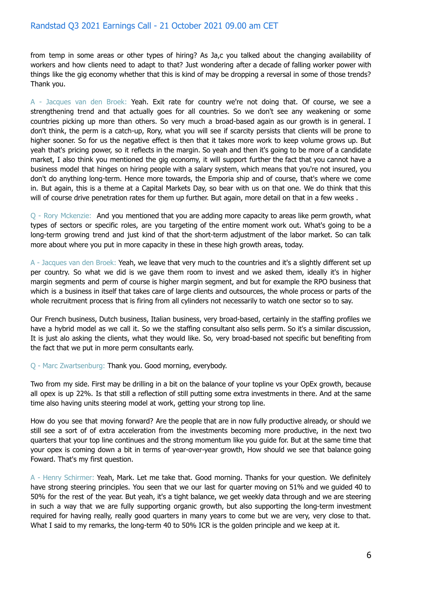from temp in some areas or other types of hiring? As Ja,c you talked about the changing availability of workers and how clients need to adapt to that? Just wondering after a decade of falling worker power with things like the gig economy whether that this is kind of may be dropping a reversal in some of those trends? Thank you.

A - Jacques van den Broek: Yeah. Exit rate for country we're not doing that. Of course, we see a strengthening trend and that actually goes for all countries. So we don't see any weakening or some countries picking up more than others. So very much a broad-based again as our growth is in general. I don't think, the perm is a catch-up, Rory, what you will see if scarcity persists that clients will be prone to higher sooner. So for us the negative effect is then that it takes more work to keep volume grows up. But yeah that's pricing power, so it reflects in the margin. So yeah and then it's going to be more of a candidate market, I also think you mentioned the gig economy, it will support further the fact that you cannot have a business model that hinges on hiring people with a salary system, which means that you're not insured, you don't do anything long-term. Hence more towards, the Emporia ship and of course, that's where we come in. But again, this is a theme at a Capital Markets Day, so bear with us on that one. We do think that this will of course drive penetration rates for them up further. But again, more detail on that in a few weeks.

Q - Rory Mckenzie: And you mentioned that you are adding more capacity to areas like perm growth, what types of sectors or specific roles, are you targeting of the entire moment work out. What's going to be a long-term growing trend and just kind of that the short-term adjustment of the labor market. So can talk more about where you put in more capacity in these in these high growth areas, today.

A - Jacques van den Broek: Yeah, we leave that very much to the countries and it's a slightly different set up per country. So what we did is we gave them room to invest and we asked them, ideally it's in higher margin segments and perm of course is higher margin segment, and but for example the RPO business that which is a business in itself that takes care of large clients and outsources, the whole process or parts of the whole recruitment process that is firing from all cylinders not necessarily to watch one sector so to say.

Our French business, Dutch business, Italian business, very broad-based, certainly in the staffing profiles we have a hybrid model as we call it. So we the staffing consultant also sells perm. So it's a similar discussion, It is just alo asking the clients, what they would like. So, very broad-based not specific but benefiting from the fact that we put in more perm consultants early.

Q - Marc Zwartsenburg: Thank you. Good morning, everybody.

Two from my side. First may be drilling in a bit on the balance of your topline vs your OpEx growth, because all opex is up 22%. Is that still a reflection of still putting some extra investments in there. And at the same time also having units steering model at work, getting your strong top line.

How do you see that moving forward? Are the people that are in now fully productive already, or should we still see a sort of of extra acceleration from the investments becoming more productive, in the next two quarters that your top line continues and the strong momentum like you guide for. But at the same time that your opex is coming down a bit in terms of year-over-year growth, How should we see that balance going Foward. That's my first question.

A - Henry Schirmer: Yeah, Mark. Let me take that. Good morning. Thanks for your question. We definitely have strong steering principles. You seen that we our last for quarter moving on 51% and we guided 40 to 50% for the rest of the year. But yeah, it's a tight balance, we get weekly data through and we are steering in such a way that we are fully supporting organic growth, but also supporting the long-term investment required for having really, really good quarters in many years to come but we are very, very close to that. What I said to my remarks, the long-term 40 to 50% ICR is the golden principle and we keep at it.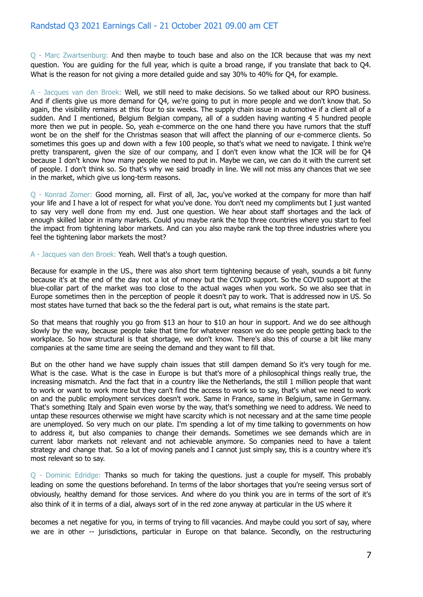Q - Marc Zwartsenburg: And then maybe to touch base and also on the ICR because that was my next question. You are guiding for the full year, which is quite a broad range, if you translate that back to Q4. What is the reason for not giving a more detailed guide and say 30% to 40% for O4, for example.

A - Jacques van den Broek: Well, we still need to make decisions. So we talked about our RPO business. And if clients give us more demand for Q4, we're going to put in more people and we don't know that. So again, the visibility remains at this four to six weeks. The supply chain issue in automotive if a client all of a sudden. And I mentioned, Belgium Belgian company, all of a sudden having wanting 4 5 hundred people more then we put in people. So, yeah e-commerce on the one hand there you have rumors that the stuff wont be on the shelf for the Christmas season that will affect the planning of our e-commerce clients. So sometimes this goes up and down with a few 100 people, so that's what we need to navigate. I think we're pretty transparent, given the size of our company, and I don't even know what the ICR will be for Q4 because I don't know how many people we need to put in. Maybe we can, we can do it with the current set of people. I don't think so. So that's why we said broadly in line. We will not miss any chances that we see in the market, which give us long-term reasons.

Q - Konrad Zomer: Good morning, all. First of all, Jac, you've worked at the company for more than half your life and I have a lot of respect for what you've done. You don't need my compliments but I just wanted to say very well done from my end. Just one question. We hear about staff shortages and the lack of enough skilled labor in many markets. Could you maybe rank the top three countries where you start to feel the impact from tightening labor markets. And can you also maybe rank the top three industries where you feel the tightening labor markets the most?

A - Jacques van den Broek: Yeah. Well that's a tough question.

Because for example in the US., there was also short term tightening because of yeah, sounds a bit funny because it's at the end of the day not a lot of money but the COVID support. So the COVID support at the blue-collar part of the market was too close to the actual wages when you work. So we also see that in Europe sometimes then in the perception of people it doesn't pay to work. That is addressed now in US. So most states have turned that back so the the federal part is out, what remains is the state part.

So that means that roughly you go from \$13 an hour to \$10 an hour in support. And we do see although slowly by the way, because people take that time for whatever reason we do see people getting back to the workplace. So how structural is that shortage, we don't know. There's also this of course a bit like many companies at the same time are seeing the demand and they want to fill that.

But on the other hand we have supply chain issues that still dampen demand So it's very tough for me. What is the case. What is the case in Europe is but that's more of a philosophical things really true, the increasing mismatch. And the fact that in a country like the Netherlands, the still 1 million people that want to work or want to work more but they can't find the access to work so to say, that's what we need to work on and the public employment services doesn't work. Same in France, same in Belgium, same in Germany. That's something Italy and Spain even worse by the way, that's something we need to address. We need to untap these resources otherwise we might have scarcity which is not necessary and at the same time people are unemployed. So very much on our plate. I'm spending a lot of my time talking to governments on how to address it, but also companies to change their demands. Sometimes we see demands which are in current labor markets not relevant and not achievable anymore. So companies need to have a talent strategy and change that. So a lot of moving panels and I cannot just simply say, this is a country where it's most relevant so to say.

Q - Dominic Edridge: Thanks so much for taking the questions. just a couple for myself. This probably leading on some the questions beforehand. In terms of the labor shortages that you're seeing versus sort of obviously, healthy demand for those services. And where do you think you are in terms of the sort of it's also think of it in terms of a dial, always sort of in the red zone anyway at particular in the US where it

becomes a net negative for you, in terms of trying to fill vacancies. And maybe could you sort of say, where we are in other -- jurisdictions, particular in Europe on that balance. Secondly, on the restructuring